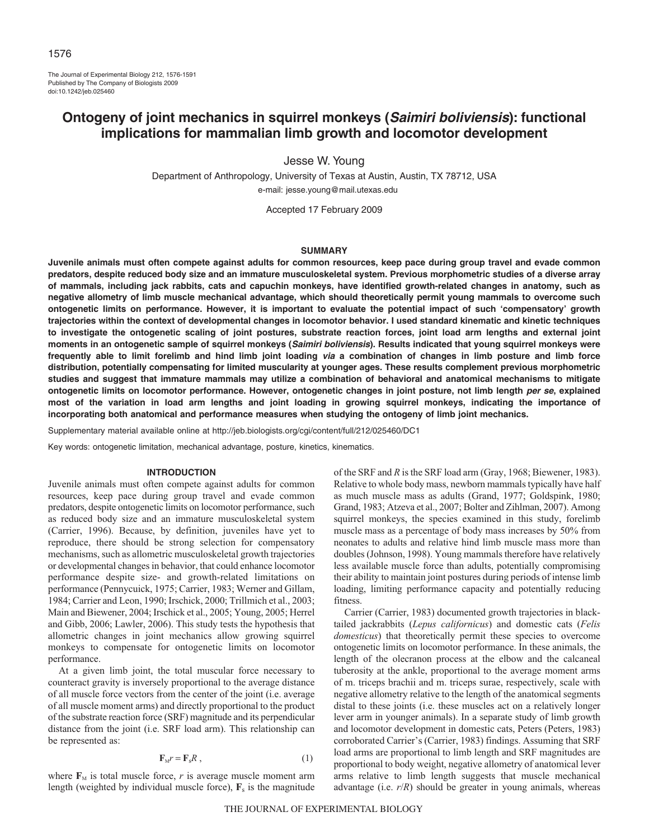The Journal of Experimental Biology 212, 1576-1591 Published by The Company of Biologists 2009 doi:10.1242/jeb.025460

# **Ontogeny of joint mechanics in squirrel monkeys (Saimiri boliviensis): functional implications for mammalian limb growth and locomotor development**

Jesse W. Young

Department of Anthropology, University of Texas at Austin, Austin, TX 78712, USA e-mail: jesse.young@mail.utexas.edu

Accepted 17 February 2009

# **SUMMARY**

**Juvenile animals must often compete against adults for common resources, keep pace during group travel and evade common predators, despite reduced body size and an immature musculoskeletal system. Previous morphometric studies of a diverse array of mammals, including jack rabbits, cats and capuchin monkeys, have identified growth-related changes in anatomy, such as negative allometry of limb muscle mechanical advantage, which should theoretically permit young mammals to overcome such ontogenetic limits on performance. However, it is important to evaluate the potential impact of such 'compensatory' growth trajectories within the context of developmental changes in locomotor behavior. I used standard kinematic and kinetic techniques to investigate the ontogenetic scaling of joint postures, substrate reaction forces, joint load arm lengths and external joint moments in an ontogenetic sample of squirrel monkeys (Saimiri boliviensis). Results indicated that young squirrel monkeys were frequently able to limit forelimb and hind limb joint loading via a combination of changes in limb posture and limb force distribution, potentially compensating for limited muscularity at younger ages. These results complement previous morphometric studies and suggest that immature mammals may utilize a combination of behavioral and anatomical mechanisms to mitigate ontogenetic limits on locomotor performance. However, ontogenetic changes in joint posture, not limb length per se, explained most of the variation in load arm lengths and joint loading in growing squirrel monkeys, indicating the importance of incorporating both anatomical and performance measures when studying the ontogeny of limb joint mechanics.**

Supplementary material available online at http://jeb.biologists.org/cgi/content/full/212/025460/DC1

Key words: ontogenetic limitation, mechanical advantage, posture, kinetics, kinematics.

#### **INTRODUCTION**

Juvenile animals must often compete against adults for common resources, keep pace during group travel and evade common predators, despite ontogenetic limits on locomotor performance, such as reduced body size and an immature musculoskeletal system (Carrier, 1996). Because, by definition, juveniles have yet to reproduce, there should be strong selection for compensatory mechanisms, such as allometric musculoskeletal growth trajectories or developmental changes in behavior, that could enhance locomotor performance despite size- and growth-related limitations on performance (Pennycuick, 1975; Carrier, 1983; Werner and Gillam, 1984; Carrier and Leon, 1990; Irschick, 2000; Trillmich et al., 2003; Main and Biewener, 2004; Irschick et al., 2005; Young, 2005; Herrel and Gibb, 2006; Lawler, 2006). This study tests the hypothesis that allometric changes in joint mechanics allow growing squirrel monkeys to compensate for ontogenetic limits on locomotor performance.

At a given limb joint, the total muscular force necessary to counteract gravity is inversely proportional to the average distance of all muscle force vectors from the center of the joint (i.e. average of all muscle moment arms) and directly proportional to the product of the substrate reaction force (SRF) magnitude and its perpendicular distance from the joint (i.e. SRF load arm). This relationship can be represented as:

$$
\mathbf{F}_{\mathbf{M}}r = \mathbf{F}_{\mathbf{s}}R\,,\tag{1}
$$

where  $\mathbf{F}_{\text{M}}$  is total muscle force,  $r$  is average muscle moment arm length (weighted by individual muscle force),  $\mathbf{F}_s$  is the magnitude of the SRF and *R* is the SRF load arm (Gray, 1968; Biewener, 1983). Relative to whole body mass, newborn mammals typically have half as much muscle mass as adults (Grand, 1977; Goldspink, 1980; Grand, 1983; Atzeva et al., 2007; Bolter and Zihlman, 2007). Among squirrel monkeys, the species examined in this study, forelimb muscle mass as a percentage of body mass increases by 50% from neonates to adults and relative hind limb muscle mass more than doubles (Johnson, 1998). Young mammals therefore have relatively less available muscle force than adults, potentially compromising their ability to maintain joint postures during periods of intense limb loading, limiting performance capacity and potentially reducing fitness.

Carrier (Carrier, 1983) documented growth trajectories in blacktailed jackrabbits (*Lepus californicus*) and domestic cats (*Felis domesticus*) that theoretically permit these species to overcome ontogenetic limits on locomotor performance. In these animals, the length of the olecranon process at the elbow and the calcaneal tuberosity at the ankle, proportional to the average moment arms of m. triceps brachii and m. triceps surae, respectively, scale with negative allometry relative to the length of the anatomical segments distal to these joints (i.e. these muscles act on a relatively longer lever arm in younger animals). In a separate study of limb growth and locomotor development in domestic cats, Peters (Peters, 1983) corroborated Carrier's (Carrier, 1983) findings. Assuming that SRF load arms are proportional to limb length and SRF magnitudes are proportional to body weight, negative allometry of anatomical lever arms relative to limb length suggests that muscle mechanical advantage (i.e. *r*/*R*) should be greater in young animals, whereas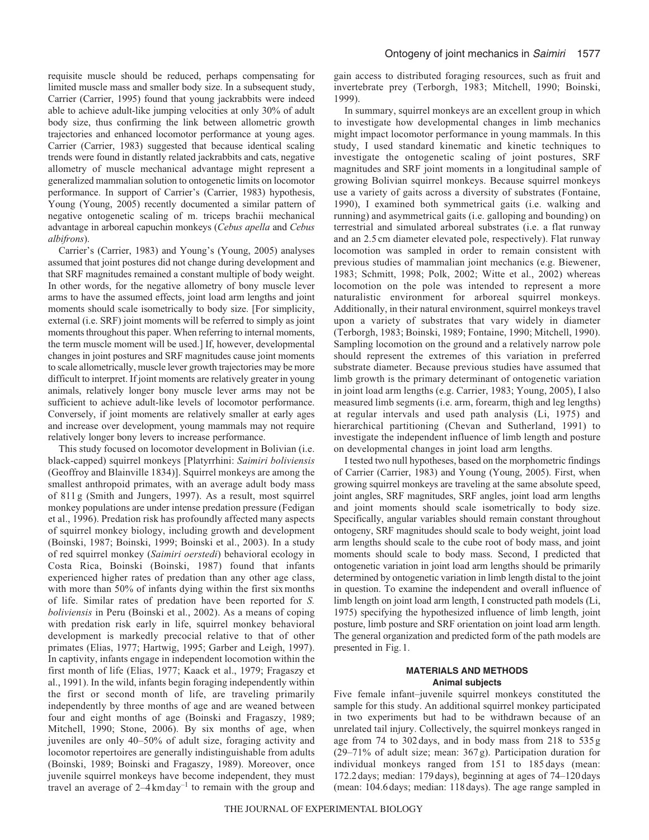requisite muscle should be reduced, perhaps compensating for limited muscle mass and smaller body size. In a subsequent study, Carrier (Carrier, 1995) found that young jackrabbits were indeed able to achieve adult-like jumping velocities at only 30% of adult body size, thus confirming the link between allometric growth trajectories and enhanced locomotor performance at young ages. Carrier (Carrier, 1983) suggested that because identical scaling trends were found in distantly related jackrabbits and cats, negative allometry of muscle mechanical advantage might represent a generalized mammalian solution to ontogenetic limits on locomotor performance. In support of Carrier's (Carrier, 1983) hypothesis, Young (Young, 2005) recently documented a similar pattern of negative ontogenetic scaling of m. triceps brachii mechanical advantage in arboreal capuchin monkeys (*Cebus apella* and *Cebus albifrons*).

Carrier's (Carrier, 1983) and Young's (Young, 2005) analyses assumed that joint postures did not change during development and that SRF magnitudes remained a constant multiple of body weight. In other words, for the negative allometry of bony muscle lever arms to have the assumed effects, joint load arm lengths and joint moments should scale isometrically to body size. [For simplicity, external (i.e. SRF) joint moments will be referred to simply as joint moments throughout this paper. When referring to internal moments, the term muscle moment will be used.] If, however, developmental changes in joint postures and SRF magnitudes cause joint moments to scale allometrically, muscle lever growth trajectories may be more difficult to interpret. If joint moments are relatively greater in young animals, relatively longer bony muscle lever arms may not be sufficient to achieve adult-like levels of locomotor performance. Conversely, if joint moments are relatively smaller at early ages and increase over development, young mammals may not require relatively longer bony levers to increase performance.

This study focused on locomotor development in Bolivian (i.e. black-capped) squirrel monkeys [Platyrrhini: *Saimiri boliviensis* (Geoffroy and Blainville 1834)]. Squirrel monkeys are among the smallest anthropoid primates, with an average adult body mass of 811g (Smith and Jungers, 1997). As a result, most squirrel monkey populations are under intense predation pressure (Fedigan et al., 1996). Predation risk has profoundly affected many aspects of squirrel monkey biology, including growth and development (Boinski, 1987; Boinski, 1999; Boinski et al., 2003). In a study of red squirrel monkey (*Saimiri oerstedi*) behavioral ecology in Costa Rica, Boinski (Boinski, 1987) found that infants experienced higher rates of predation than any other age class, with more than 50% of infants dying within the first six months of life. Similar rates of predation have been reported for *S. boliviensis* in Peru (Boinski et al., 2002). As a means of coping with predation risk early in life, squirrel monkey behavioral development is markedly precocial relative to that of other primates (Elias, 1977; Hartwig, 1995; Garber and Leigh, 1997). In captivity, infants engage in independent locomotion within the first month of life (Elias, 1977; Kaack et al., 1979; Fragaszy et al., 1991). In the wild, infants begin foraging independently within the first or second month of life, are traveling primarily independently by three months of age and are weaned between four and eight months of age (Boinski and Fragaszy, 1989; Mitchell, 1990; Stone, 2006). By six months of age, when juveniles are only 40–50% of adult size, foraging activity and locomotor repertoires are generally indistinguishable from adults (Boinski, 1989; Boinski and Fragaszy, 1989). Moreover, once juvenile squirrel monkeys have become independent, they must travel an average of  $2-4$ kmday<sup>-1</sup> to remain with the group and gain access to distributed foraging resources, such as fruit and invertebrate prey (Terborgh, 1983; Mitchell, 1990; Boinski, 1999).

In summary, squirrel monkeys are an excellent group in which to investigate how developmental changes in limb mechanics might impact locomotor performance in young mammals. In this study, I used standard kinematic and kinetic techniques to investigate the ontogenetic scaling of joint postures, SRF magnitudes and SRF joint moments in a longitudinal sample of growing Bolivian squirrel monkeys. Because squirrel monkeys use a variety of gaits across a diversity of substrates (Fontaine, 1990), I examined both symmetrical gaits (i.e. walking and running) and asymmetrical gaits (i.e. galloping and bounding) on terrestrial and simulated arboreal substrates (i.e. a flat runway and an 2.5cm diameter elevated pole, respectively). Flat runway locomotion was sampled in order to remain consistent with previous studies of mammalian joint mechanics (e.g. Biewener, 1983; Schmitt, 1998; Polk, 2002; Witte et al., 2002) whereas locomotion on the pole was intended to represent a more naturalistic environment for arboreal squirrel monkeys. Additionally, in their natural environment, squirrel monkeys travel upon a variety of substrates that vary widely in diameter (Terborgh, 1983; Boinski, 1989; Fontaine, 1990; Mitchell, 1990). Sampling locomotion on the ground and a relatively narrow pole should represent the extremes of this variation in preferred substrate diameter. Because previous studies have assumed that limb growth is the primary determinant of ontogenetic variation in joint load arm lengths (e.g. Carrier, 1983; Young, 2005), I also measured limb segments (i.e. arm, forearm, thigh and leg lengths) at regular intervals and used path analysis (Li, 1975) and hierarchical partitioning (Chevan and Sutherland, 1991) to investigate the independent influence of limb length and posture on developmental changes in joint load arm lengths.

I tested two null hypotheses, based on the morphometric findings of Carrier (Carrier, 1983) and Young (Young, 2005). First, when growing squirrel monkeys are traveling at the same absolute speed, joint angles, SRF magnitudes, SRF angles, joint load arm lengths and joint moments should scale isometrically to body size. Specifically, angular variables should remain constant throughout ontogeny, SRF magnitudes should scale to body weight, joint load arm lengths should scale to the cube root of body mass, and joint moments should scale to body mass. Second, I predicted that ontogenetic variation in joint load arm lengths should be primarily determined by ontogenetic variation in limb length distal to the joint in question. To examine the independent and overall influence of limb length on joint load arm length, I constructed path models (Li, 1975) specifying the hypothesized influence of limb length, joint posture, limb posture and SRF orientation on joint load arm length. The general organization and predicted form of the path models are presented in Fig.1.

# **MATERIALS AND METHODS Animal subjects**

Five female infant–juvenile squirrel monkeys constituted the sample for this study. An additional squirrel monkey participated in two experiments but had to be withdrawn because of an unrelated tail injury. Collectively, the squirrel monkeys ranged in age from 74 to 302days, and in body mass from 218 to 535g (29–71% of adult size; mean: 367g). Participation duration for individual monkeys ranged from 151 to 185 days (mean: 172.2days; median: 179days), beginning at ages of 74–120days (mean: 104.6days; median: 118days). The age range sampled in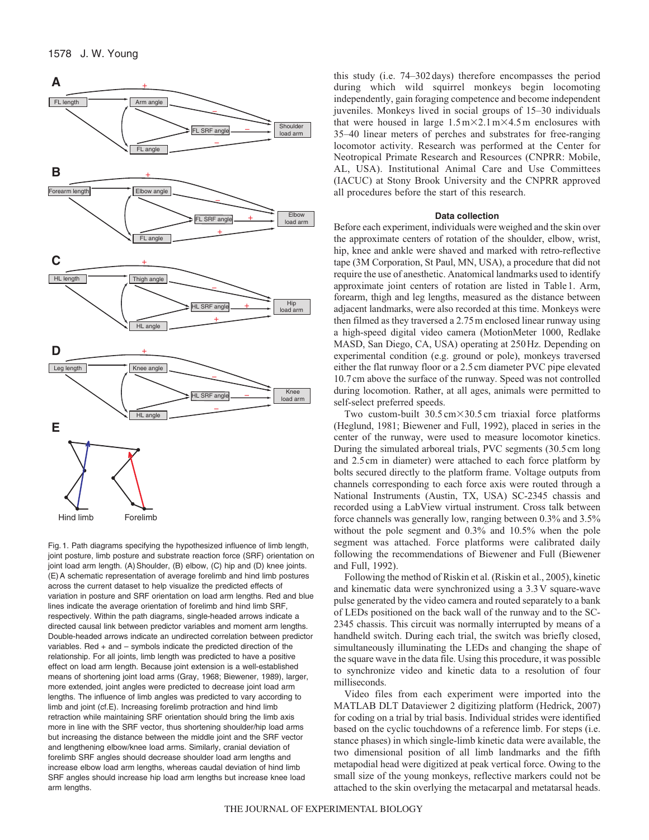

Fig. 1. Path diagrams specifying the hypothesized influence of limb length, joint posture, limb posture and substrate reaction force (SRF) orientation on joint load arm length. (A) Shoulder, (B) elbow, (C) hip and (D) knee joints. (E) A schematic representation of average forelimb and hind limb postures across the current dataset to help visualize the predicted effects of variation in posture and SRF orientation on load arm lengths. Red and blue lines indicate the average orientation of forelimb and hind limb SRF, respectively. Within the path diagrams, single-headed arrows indicate a directed causal link between predictor variables and moment arm lengths. Double-headed arrows indicate an undirected correlation between predictor variables. Red + and – symbols indicate the predicted direction of the relationship. For all joints, limb length was predicted to have a positive effect on load arm length. Because joint extension is a well-established means of shortening joint load arms (Gray, 1968; Biewener, 1989), larger, more extended, joint angles were predicted to decrease joint load arm lengths. The influence of limb angles was predicted to vary according to limb and joint (cf.E). Increasing forelimb protraction and hind limb retraction while maintaining SRF orientation should bring the limb axis more in line with the SRF vector, thus shortening shoulder/hip load arms but increasing the distance between the middle joint and the SRF vector and lengthening elbow/knee load arms. Similarly, cranial deviation of forelimb SRF angles should decrease shoulder load arm lengths and increase elbow load arm lengths, whereas caudal deviation of hind limb SRF angles should increase hip load arm lengths but increase knee load arm lengths.

this study (i.e. 74–302days) therefore encompasses the period during which wild squirrel monkeys begin locomoting independently, gain foraging competence and become independent juveniles. Monkeys lived in social groups of 15–30 individuals that were housed in large  $1.5 \text{ m} \times 2.1 \text{ m} \times 4.5 \text{ m}$  enclosures with 35–40 linear meters of perches and substrates for free-ranging locomotor activity. Research was performed at the Center for Neotropical Primate Research and Resources (CNPRR: Mobile, AL, USA). Institutional Animal Care and Use Committees (IACUC) at Stony Brook University and the CNPRR approved all procedures before the start of this research.

# **Data collection**

Before each experiment, individuals were weighed and the skin over the approximate centers of rotation of the shoulder, elbow, wrist, hip, knee and ankle were shaved and marked with retro-reflective tape (3M Corporation, St Paul, MN, USA), a procedure that did not require the use of anesthetic. Anatomical landmarks used to identify approximate joint centers of rotation are listed in Table1. Arm, forearm, thigh and leg lengths, measured as the distance between adjacent landmarks, were also recorded at this time. Monkeys were then filmed as they traversed a 2.75m enclosed linear runway using a high-speed digital video camera (MotionMeter 1000, Redlake MASD, San Diego, CA, USA) operating at 250Hz. Depending on experimental condition (e.g. ground or pole), monkeys traversed either the flat runway floor or a 2.5cm diameter PVC pipe elevated 10.7cm above the surface of the runway. Speed was not controlled during locomotion. Rather, at all ages, animals were permitted to self-select preferred speeds.

Two custom-built  $30.5 \text{ cm} \times 30.5 \text{ cm}$  triaxial force platforms (Heglund, 1981; Biewener and Full, 1992), placed in series in the center of the runway, were used to measure locomotor kinetics. During the simulated arboreal trials, PVC segments (30.5cm long and 2.5cm in diameter) were attached to each force platform by bolts secured directly to the platform frame. Voltage outputs from channels corresponding to each force axis were routed through a National Instruments (Austin, TX, USA) SC-2345 chassis and recorded using a LabView virtual instrument. Cross talk between force channels was generally low, ranging between 0.3% and 3.5% without the pole segment and 0.3% and 10.5% when the pole segment was attached. Force platforms were calibrated daily following the recommendations of Biewener and Full (Biewener and Full, 1992).

Following the method of Riskin et al. (Riskin et al., 2005), kinetic and kinematic data were synchronized using a 3.3V square-wave pulse generated by the video camera and routed separately to a bank of LEDs positioned on the back wall of the runway and to the SC-2345 chassis. This circuit was normally interrupted by means of a handheld switch. During each trial, the switch was briefly closed, simultaneously illuminating the LEDs and changing the shape of the square wave in the data file. Using this procedure, it was possible to synchronize video and kinetic data to a resolution of four milliseconds.

Video files from each experiment were imported into the MATLAB DLT Dataviewer 2 digitizing platform (Hedrick, 2007) for coding on a trial by trial basis. Individual strides were identified based on the cyclic touchdowns of a reference limb. For steps (i.e. stance phases) in which single-limb kinetic data were available, the two dimensional position of all limb landmarks and the fifth metapodial head were digitized at peak vertical force. Owing to the small size of the young monkeys, reflective markers could not be attached to the skin overlying the metacarpal and metatarsal heads.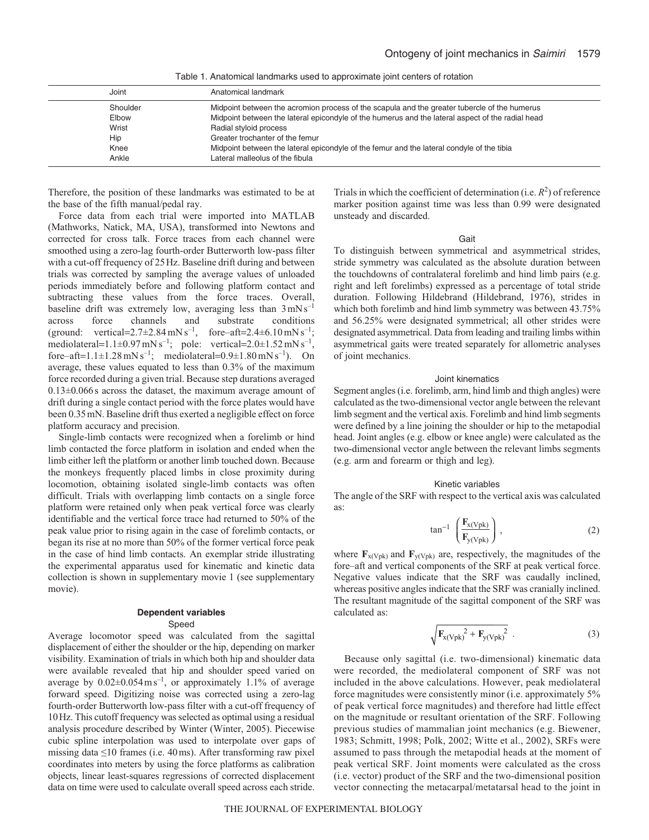|  | Table 1. Anatomical landmarks used to approximate joint centers of rotation |
|--|-----------------------------------------------------------------------------|
|  |                                                                             |

| Joint    | Anatomical landmark                                                                              |
|----------|--------------------------------------------------------------------------------------------------|
| Shoulder | Midpoint between the acromion process of the scapula and the greater tubercle of the humerus     |
| Elbow    | Midpoint between the lateral epicondyle of the humerus and the lateral aspect of the radial head |
| Wrist    | Radial styloid process                                                                           |
| Hip      | Greater trochanter of the femur                                                                  |
| Knee     | Midpoint between the lateral epicondyle of the femur and the lateral condyle of the tibia        |
| Ankle    | Lateral malleolus of the fibula                                                                  |

Therefore, the position of these landmarks was estimated to be at the base of the fifth manual/pedal ray.

Force data from each trial were imported into MATLAB (Mathworks, Natick, MA, USA), transformed into Newtons and corrected for cross talk. Force traces from each channel were smoothed using a zero-lag fourth-order Butterworth low-pass filter with a cut-off frequency of 25Hz. Baseline drift during and between trials was corrected by sampling the average values of unloaded periods immediately before and following platform contact and subtracting these values from the force traces. Overall, baseline drift was extremely low, averaging less than  $3 \text{ mNs}^{-1}$ across force channels and substrate conditions (ground: vertical=2.7 $\pm$ 2.84 mN s<sup>-1</sup>, fore–aft=2.4 $\pm$ 6.10 mN s<sup>-1</sup>; mediolateral=1.1±0.97 mN s<sup>-1</sup>; pole: vertical=2.0±1.52 mN s<sup>-1</sup>, fore–aft=1.1±1.28 mN s<sup>-1</sup>; mediolateral=0.9±1.80 mN s<sup>-1</sup>). On average, these values equated to less than 0.3% of the maximum force recorded during a given trial. Because step durations averaged 0.13±0.066s across the dataset, the maximum average amount of drift during a single contact period with the force plates would have been 0.35mN. Baseline drift thus exerted a negligible effect on force platform accuracy and precision.

Single-limb contacts were recognized when a forelimb or hind limb contacted the force platform in isolation and ended when the limb either left the platform or another limb touched down. Because the monkeys frequently placed limbs in close proximity during locomotion, obtaining isolated single-limb contacts was often difficult. Trials with overlapping limb contacts on a single force platform were retained only when peak vertical force was clearly identifiable and the vertical force trace had returned to 50% of the peak value prior to rising again in the case of forelimb contacts, or began its rise at no more than 50% of the former vertical force peak in the case of hind limb contacts. An exemplar stride illustrating the experimental apparatus used for kinematic and kinetic data collection is shown in supplementary movie 1 (see supplementary movie).

### **Dependent variables** Speed

Average locomotor speed was calculated from the sagittal displacement of either the shoulder or the hip, depending on marker visibility. Examination of trials in which both hip and shoulder data were available revealed that hip and shoulder speed varied on average by  $0.02 \pm 0.054 \,\mathrm{m\,s^{-1}}$ , or approximately 1.1% of average forward speed. Digitizing noise was corrected using a zero-lag fourth-order Butterworth low-pass filter with a cut-off frequency of 10Hz. This cutoff frequency was selected as optimal using a residual analysis procedure described by Winter (Winter, 2005). Piecewise cubic spline interpolation was used to interpolate over gaps of missing data ≤10 frames (i.e. 40ms). After transforming raw pixel coordinates into meters by using the force platforms as calibration objects, linear least-squares regressions of corrected displacement data on time were used to calculate overall speed across each stride.

Trials in which the coefficient of determination (i.e.  $R^2$ ) of reference marker position against time was less than 0.99 were designated unsteady and discarded.

### Gait

To distinguish between symmetrical and asymmetrical strides, stride symmetry was calculated as the absolute duration between the touchdowns of contralateral forelimb and hind limb pairs (e.g. right and left forelimbs) expressed as a percentage of total stride duration. Following Hildebrand (Hildebrand, 1976), strides in which both forelimb and hind limb symmetry was between 43.75% and 56.25% were designated symmetrical; all other strides were designated asymmetrical. Data from leading and trailing limbs within asymmetrical gaits were treated separately for allometric analyses of joint mechanics.

#### Joint kinematics

Segment angles (i.e. forelimb, arm, hind limb and thigh angles) were calculated as the two-dimensional vector angle between the relevant limb segment and the vertical axis. Forelimb and hind limb segments were defined by a line joining the shoulder or hip to the metapodial head. Joint angles (e.g. elbow or knee angle) were calculated as the two-dimensional vector angle between the relevant limbs segments (e.g. arm and forearm or thigh and leg).

### Kinetic variables

The angle of the SRF with respect to the vertical axis was calculated as:

$$
\tan^{-1}\left(\frac{F_{x(Vpk)}}{F_{y(Vpk)}}\right),\tag{2}
$$

where  $\mathbf{F}_{x(Vpk)}$  and  $\mathbf{F}_{y(Vpk)}$  are, respectively, the magnitudes of the fore–aft and vertical components of the SRF at peak vertical force. Negative values indicate that the SRF was caudally inclined, whereas positive angles indicate that the SRF was cranially inclined. The resultant magnitude of the sagittal component of the SRF was calculated as:

$$
\sqrt{\mathbf{F}_{\mathbf{x}(V\mathbf{p}k)}^2 + \mathbf{F}_{\mathbf{y}(V\mathbf{p}k)}^2} \tag{3}
$$

Because only sagittal (i.e. two-dimensional) kinematic data were recorded, the mediolateral component of SRF was not included in the above calculations. However, peak mediolateral force magnitudes were consistently minor (i.e. approximately 5% of peak vertical force magnitudes) and therefore had little effect on the magnitude or resultant orientation of the SRF. Following previous studies of mammalian joint mechanics (e.g. Biewener, 1983; Schmitt, 1998; Polk, 2002; Witte et al., 2002), SRFs were assumed to pass through the metapodial heads at the moment of peak vertical SRF. Joint moments were calculated as the cross (i.e. vector) product of the SRF and the two-dimensional position vector connecting the metacarpal/metatarsal head to the joint in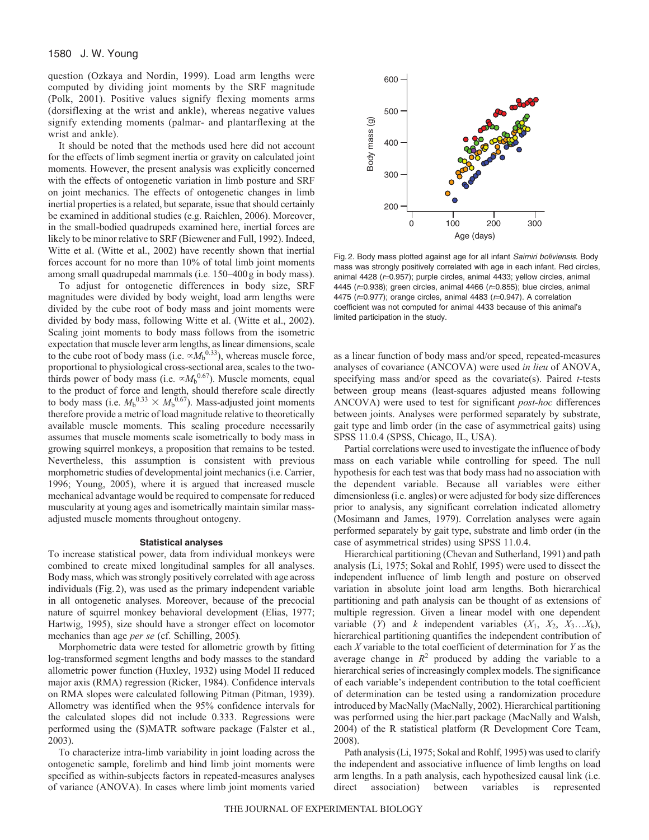question (Ozkaya and Nordin, 1999). Load arm lengths were computed by dividing joint moments by the SRF magnitude (Polk, 2001). Positive values signify flexing moments arms (dorsiflexing at the wrist and ankle), whereas negative values signify extending moments (palmar- and plantarflexing at the wrist and ankle).

It should be noted that the methods used here did not account for the effects of limb segment inertia or gravity on calculated joint moments. However, the present analysis was explicitly concerned with the effects of ontogenetic variation in limb posture and SRF on joint mechanics. The effects of ontogenetic changes in limb inertial properties is a related, but separate, issue that should certainly be examined in additional studies (e.g. Raichlen, 2006). Moreover, in the small-bodied quadrupeds examined here, inertial forces are likely to be minor relative to SRF (Biewener and Full, 1992). Indeed, Witte et al. (Witte et al., 2002) have recently shown that inertial forces account for no more than 10% of total limb joint moments among small quadrupedal mammals (i.e. 150–400g in body mass).

To adjust for ontogenetic differences in body size, SRF magnitudes were divided by body weight, load arm lengths were divided by the cube root of body mass and joint moments were divided by body mass, following Witte et al. (Witte et al., 2002). Scaling joint moments to body mass follows from the isometric expectation that muscle lever arm lengths, as linear dimensions, scale to the cube root of body mass (i.e.  $\propto M_b^{0.33}$ ), whereas muscle force, proportional to physiological cross-sectional area, scales to the twothirds power of body mass (i.e.  $\propto M_b^{0.67}$ ). Muscle moments, equal to the product of force and length, should therefore scale directly to body mass (i.e.  $M_b^{0.33} \times M_b^{0.67}$ ). Mass-adjusted joint moments therefore provide a metric of load magnitude relative to theoretically available muscle moments. This scaling procedure necessarily assumes that muscle moments scale isometrically to body mass in growing squirrel monkeys, a proposition that remains to be tested. Nevertheless, this assumption is consistent with previous morphometric studies of developmental joint mechanics (i.e. Carrier, 1996; Young, 2005), where it is argued that increased muscle mechanical advantage would be required to compensate for reduced muscularity at young ages and isometrically maintain similar massadjusted muscle moments throughout ontogeny.

#### **Statistical analyses**

To increase statistical power, data from individual monkeys were combined to create mixed longitudinal samples for all analyses. Body mass, which was strongly positively correlated with age across individuals (Fig.2), was used as the primary independent variable in all ontogenetic analyses. Moreover, because of the precocial nature of squirrel monkey behavioral development (Elias, 1977; Hartwig, 1995), size should have a stronger effect on locomotor mechanics than age *per se* (cf. Schilling, 2005)*.*

Morphometric data were tested for allometric growth by fitting log-transformed segment lengths and body masses to the standard allometric power function (Huxley, 1932) using Model II reduced major axis (RMA) regression (Ricker, 1984). Confidence intervals on RMA slopes were calculated following Pitman (Pitman, 1939). Allometry was identified when the 95% confidence intervals for the calculated slopes did not include 0.333. Regressions were performed using the (S)MATR software package (Falster et al., 2003).

To characterize intra-limb variability in joint loading across the ontogenetic sample, forelimb and hind limb joint moments were specified as within-subjects factors in repeated-measures analyses of variance (ANOVA). In cases where limb joint moments varied



Fig. 2. Body mass plotted against age for all infant Saimiri boliviensis. Body mass was strongly positively correlated with age in each infant. Red circles, animal 4428 (r=0.957); purple circles, animal 4433; yellow circles, animal 4445 (r=0.938); green circles, animal 4466 (r=0.855); blue circles, animal 4475 (r=0.977); orange circles, animal 4483 (r=0.947). A correlation coefficient was not computed for animal 4433 because of this animal's limited participation in the study.

as a linear function of body mass and/or speed, repeated-measures analyses of covariance (ANCOVA) were used *in lieu* of ANOVA, specifying mass and/or speed as the covariate(s). Paired *t*-tests between group means (least-squares adjusted means following ANCOVA) were used to test for significant *post-hoc* differences between joints. Analyses were performed separately by substrate, gait type and limb order (in the case of asymmetrical gaits) using SPSS 11.0.4 (SPSS, Chicago, IL, USA).

Partial correlations were used to investigate the influence of body mass on each variable while controlling for speed. The null hypothesis for each test was that body mass had no association with the dependent variable. Because all variables were either dimensionless (i.e. angles) or were adjusted for body size differences prior to analysis, any significant correlation indicated allometry (Mosimann and James, 1979). Correlation analyses were again performed separately by gait type, substrate and limb order (in the case of asymmetrical strides) using SPSS 11.0.4.

Hierarchical partitioning (Chevan and Sutherland, 1991) and path analysis (Li, 1975; Sokal and Rohlf, 1995) were used to dissect the independent influence of limb length and posture on observed variation in absolute joint load arm lengths. Both hierarchical partitioning and path analysis can be thought of as extensions of multiple regression. Given a linear model with one dependent variable (*Y*) and *k* independent variables  $(X_1, X_2, X_3...X_k)$ , hierarchical partitioning quantifies the independent contribution of each *X* variable to the total coefficient of determination for *Y* as the average change in  $R^2$  produced by adding the variable to a hierarchical series of increasingly complex models. The significance of each variable's independent contribution to the total coefficient of determination can be tested using a randomization procedure introduced by MacNally (MacNally, 2002). Hierarchical partitioning was performed using the hier.part package (MacNally and Walsh, 2004) of the R statistical platform (R Development Core Team, 2008).

Path analysis (Li, 1975; Sokal and Rohlf, 1995) was used to clarify the independent and associative influence of limb lengths on load arm lengths. In a path analysis, each hypothesized causal link (i.e. direct association) between variables is represented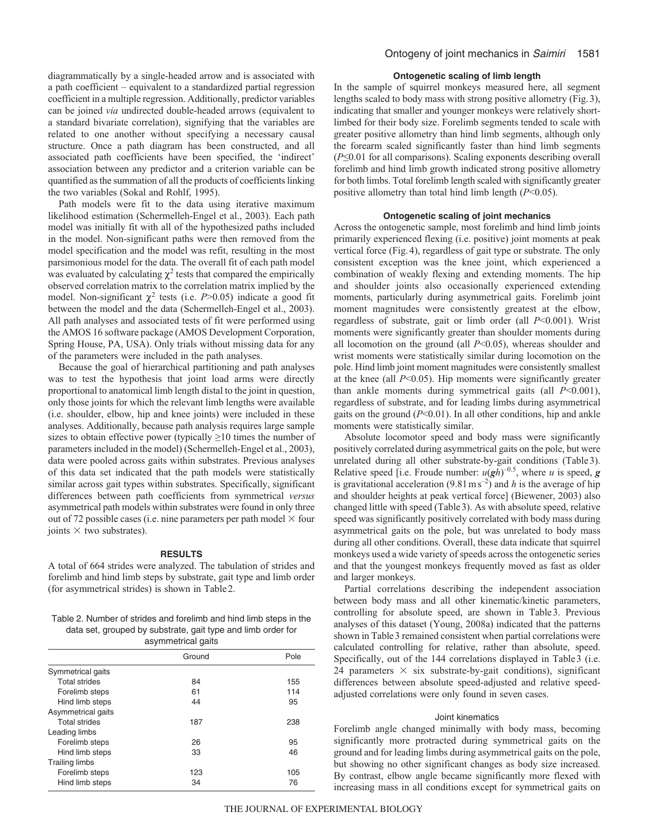diagrammatically by a single-headed arrow and is associated with a path coefficient – equivalent to a standardized partial regression coefficient in a multiple regression. Additionally, predictor variables can be joined *via* undirected double-headed arrows (equivalent to a standard bivariate correlation), signifying that the variables are related to one another without specifying a necessary causal structure. Once a path diagram has been constructed, and all associated path coefficients have been specified, the 'indirect' association between any predictor and a criterion variable can be quantified as the summation of all the products of coefficients linking the two variables (Sokal and Rohlf, 1995).

Path models were fit to the data using iterative maximum likelihood estimation (Schermelleh-Engel et al., 2003). Each path model was initially fit with all of the hypothesized paths included in the model. Non-significant paths were then removed from the model specification and the model was refit, resulting in the most parsimonious model for the data. The overall fit of each path model was evaluated by calculating  $\chi^2$  tests that compared the empirically observed correlation matrix to the correlation matrix implied by the model. Non-significant  $\chi^2$  tests (i.e. *P*>0.05) indicate a good fit between the model and the data (Schermelleh-Engel et al., 2003). All path analyses and associated tests of fit were performed using the AMOS 16 software package (AMOS Development Corporation, Spring House, PA, USA). Only trials without missing data for any of the parameters were included in the path analyses.

Because the goal of hierarchical partitioning and path analyses was to test the hypothesis that joint load arms were directly proportional to anatomical limb length distal to the joint in question, only those joints for which the relevant limb lengths were available (i.e. shoulder, elbow, hip and knee joints) were included in these analyses. Additionally, because path analysis requires large sample sizes to obtain effective power (typically  $\geq 10$  times the number of parameters included in the model) (Schermelleh-Engel et al., 2003), data were pooled across gaits within substrates. Previous analyses of this data set indicated that the path models were statistically similar across gait types within substrates. Specifically, significant differences between path coefficients from symmetrical *versus* asymmetrical path models within substrates were found in only three out of 72 possible cases (i.e. nine parameters per path model  $\times$  four joints  $\times$  two substrates).

### **RESULTS**

A total of 664 strides were analyzed. The tabulation of strides and forelimb and hind limb steps by substrate, gait type and limb order (for asymmetrical strides) is shown in Table2.

Table 2. Number of strides and forelimb and hind limb steps in the data set, grouped by substrate, gait type and limb order for asymmetrical gaits

|                       | asymmothical yans |      |
|-----------------------|-------------------|------|
|                       | Ground            | Pole |
| Symmetrical gaits     |                   |      |
| Total strides         | 84                | 155  |
| Forelimb steps        | 61                | 114  |
| Hind limb steps       | 44                | 95   |
| Asymmetrical gaits    |                   |      |
| Total strides         | 187               | 238  |
| Leading limbs         |                   |      |
| Forelimb steps        | 26                | 95   |
| Hind limb steps       | 33                | 46   |
| <b>Trailing limbs</b> |                   |      |
| Forelimb steps        | 123               | 105  |
| Hind limb steps       | 34                | 76   |

# **Ontogenetic scaling of limb length**

In the sample of squirrel monkeys measured here, all segment lengths scaled to body mass with strong positive allometry (Fig.3), indicating that smaller and younger monkeys were relatively shortlimbed for their body size. Forelimb segments tended to scale with greater positive allometry than hind limb segments, although only the forearm scaled significantly faster than hind limb segments (*P*≤0.01 for all comparisons). Scaling exponents describing overall forelimb and hind limb growth indicated strong positive allometry for both limbs. Total forelimb length scaled with significantly greater positive allometry than total hind limb length (*P*<0.05).

# **Ontogenetic scaling of joint mechanics**

Across the ontogenetic sample, most forelimb and hind limb joints primarily experienced flexing (i.e. positive) joint moments at peak vertical force (Fig.4), regardless of gait type or substrate. The only consistent exception was the knee joint, which experienced a combination of weakly flexing and extending moments. The hip and shoulder joints also occasionally experienced extending moments, particularly during asymmetrical gaits. Forelimb joint moment magnitudes were consistently greatest at the elbow, regardless of substrate, gait or limb order (all *P*<0.001). Wrist moments were significantly greater than shoulder moments during all locomotion on the ground (all *P*<0.05), whereas shoulder and wrist moments were statistically similar during locomotion on the pole. Hind limb joint moment magnitudes were consistently smallest at the knee (all *P*<0.05). Hip moments were significantly greater than ankle moments during symmetrical gaits (all *P*<0.001), regardless of substrate, and for leading limbs during asymmetrical gaits on the ground (*P*<0.01). In all other conditions, hip and ankle moments were statistically similar.

Absolute locomotor speed and body mass were significantly positively correlated during asymmetrical gaits on the pole, but were unrelated during all other substrate-by-gait conditions (Table3). Relative speed [i.e. Froude number:  $u(gh)^{-0.5}$ , where *u* is speed, *g* is orgaintational acceleration (9.81 m s<sup>-2</sup>) and *h* is the average of hin is gravitational acceleration  $(9.81 \text{ m s}^{-2})$  and *h* is the average of hip and shoulder heights at peak vertical force] (Biewener, 2003) also changed little with speed (Table3). As with absolute speed, relative speed was significantly positively correlated with body mass during asymmetrical gaits on the pole, but was unrelated to body mass during all other conditions. Overall, these data indicate that squirrel monkeys used a wide variety of speeds across the ontogenetic series and that the youngest monkeys frequently moved as fast as older and larger monkeys.

Partial correlations describing the independent association between body mass and all other kinematic/kinetic parameters, controlling for absolute speed, are shown in Table3. Previous analyses of this dataset (Young, 2008a) indicated that the patterns shown in Table3 remained consistent when partial correlations were calculated controlling for relative, rather than absolute, speed. Specifically, out of the 144 correlations displayed in Table3 (i.e. 24 parameters  $\times$  six substrate-by-gait conditions), significant differences between absolute speed-adjusted and relative speedadjusted correlations were only found in seven cases.

#### Joint kinematics

Forelimb angle changed minimally with body mass, becoming significantly more protracted during symmetrical gaits on the ground and for leading limbs during asymmetrical gaits on the pole, but showing no other significant changes as body size increased. By contrast, elbow angle became significantly more flexed with increasing mass in all conditions except for symmetrical gaits on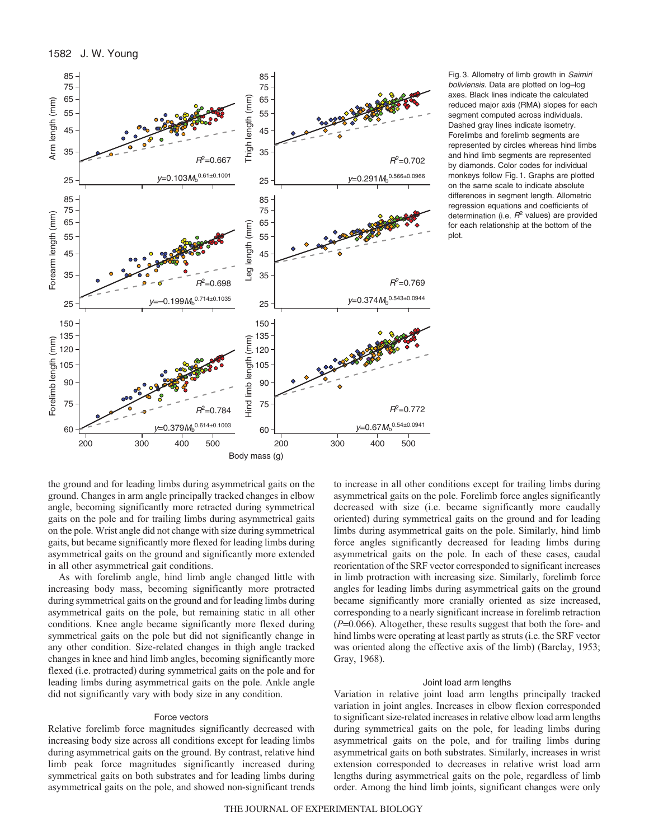

Fig. 3. Allometry of limb growth in Saimiri boliviensis. Data are plotted on log–log axes. Black lines indicate the calculated reduced major axis (RMA) slopes for each segment computed across individuals. Dashed gray lines indicate isometry. Forelimbs and forelimb segments are represented by circles whereas hind limbs and hind limb segments are represented by diamonds. Color codes for individual monkeys follow Fig. 1. Graphs are plotted on the same scale to indicate absolute differences in segment length. Allometric regression equations and coefficients of determination (i.e.  $R^2$  values) are provided for each relationship at the bottom of the plot.

the ground and for leading limbs during asymmetrical gaits on the ground. Changes in arm angle principally tracked changes in elbow angle, becoming significantly more retracted during symmetrical gaits on the pole and for trailing limbs during asymmetrical gaits on the pole. Wrist angle did not change with size during symmetrical gaits, but became significantly more flexed for leading limbs during asymmetrical gaits on the ground and significantly more extended in all other asymmetrical gait conditions.

As with forelimb angle, hind limb angle changed little with increasing body mass, becoming significantly more protracted during symmetrical gaits on the ground and for leading limbs during asymmetrical gaits on the pole, but remaining static in all other conditions. Knee angle became significantly more flexed during symmetrical gaits on the pole but did not significantly change in any other condition. Size-related changes in thigh angle tracked changes in knee and hind limb angles, becoming significantly more flexed (i.e. protracted) during symmetrical gaits on the pole and for leading limbs during asymmetrical gaits on the pole. Ankle angle did not significantly vary with body size in any condition.

### Force vectors

Relative forelimb force magnitudes significantly decreased with increasing body size across all conditions except for leading limbs during asymmetrical gaits on the ground. By contrast, relative hind limb peak force magnitudes significantly increased during symmetrical gaits on both substrates and for leading limbs during asymmetrical gaits on the pole, and showed non-significant trends to increase in all other conditions except for trailing limbs during asymmetrical gaits on the pole. Forelimb force angles significantly decreased with size (i.e. became significantly more caudally oriented) during symmetrical gaits on the ground and for leading limbs during asymmetrical gaits on the pole. Similarly, hind limb force angles significantly decreased for leading limbs during asymmetrical gaits on the pole. In each of these cases, caudal reorientation of the SRF vector corresponded to significant increases in limb protraction with increasing size. Similarly, forelimb force angles for leading limbs during asymmetrical gaits on the ground became significantly more cranially oriented as size increased, corresponding to a nearly significant increase in forelimb retraction (*P*=0.066). Altogether, these results suggest that both the fore- and hind limbs were operating at least partly as struts (i.e. the SRF vector was oriented along the effective axis of the limb) (Barclay, 1953; Gray, 1968).

### Joint load arm lengths

Variation in relative joint load arm lengths principally tracked variation in joint angles. Increases in elbow flexion corresponded to significant size-related increases in relative elbow load arm lengths during symmetrical gaits on the pole, for leading limbs during asymmetrical gaits on the pole, and for trailing limbs during asymmetrical gaits on both substrates. Similarly, increases in wrist extension corresponded to decreases in relative wrist load arm lengths during asymmetrical gaits on the pole, regardless of limb order. Among the hind limb joints, significant changes were only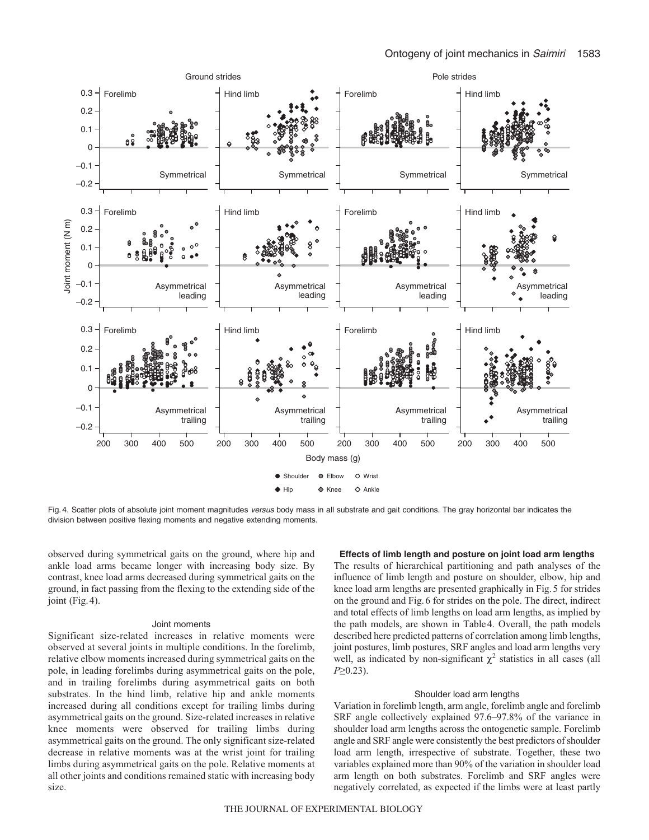

Fig. 4. Scatter plots of absolute joint moment magnitudes versus body mass in all substrate and gait conditions. The gray horizontal bar indicates the division between positive flexing moments and negative extending moments.

observed during symmetrical gaits on the ground, where hip and ankle load arms became longer with increasing body size. By contrast, knee load arms decreased during symmetrical gaits on the ground, in fact passing from the flexing to the extending side of the joint (Fig. 4).

#### Joint moments

Significant size-related increases in relative moments were observed at several joints in multiple conditions. In the forelimb, relative elbow moments increased during symmetrical gaits on the pole, in leading forelimbs during asymmetrical gaits on the pole, and in trailing forelimbs during asymmetrical gaits on both substrates. In the hind limb, relative hip and ankle moments increased during all conditions except for trailing limbs during asymmetrical gaits on the ground. Size-related increases in relative knee moments were observed for trailing limbs during asymmetrical gaits on the ground. The only significant size-related decrease in relative moments was at the wrist joint for trailing limbs during asymmetrical gaits on the pole. Relative moments at all other joints and conditions remained static with increasing body size.

# **Effects of limb length and posture on joint load arm lengths**

The results of hierarchical partitioning and path analyses of the influence of limb length and posture on shoulder, elbow, hip and knee load arm lengths are presented graphically in Fig.5 for strides on the ground and Fig.6 for strides on the pole. The direct, indirect and total effects of limb lengths on load arm lengths, as implied by the path models, are shown in Table4. Overall, the path models described here predicted patterns of correlation among limb lengths, joint postures, limb postures, SRF angles and load arm lengths very well, as indicated by non-significant  $\chi^2$  statistics in all cases (all *P*≥0.23).

# Shoulder load arm lengths

Variation in forelimb length, arm angle, forelimb angle and forelimb SRF angle collectively explained 97.6–97.8% of the variance in shoulder load arm lengths across the ontogenetic sample. Forelimb angle and SRF angle were consistently the best predictors of shoulder load arm length, irrespective of substrate. Together, these two variables explained more than 90% of the variation in shoulder load arm length on both substrates. Forelimb and SRF angles were negatively correlated, as expected if the limbs were at least partly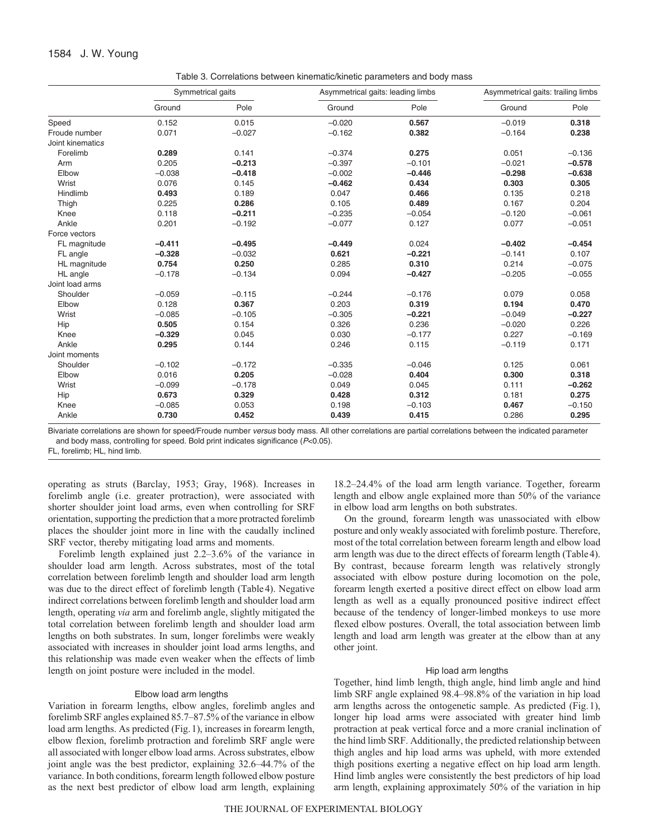Table 3. Correlations between kinematic/kinetic parameters and body mass

|                  | Symmetrical gaits |          | Asymmetrical gaits: leading limbs |          | Asymmetrical gaits: trailing limbs |          |
|------------------|-------------------|----------|-----------------------------------|----------|------------------------------------|----------|
|                  | Ground            | Pole     | Ground                            | Pole     | Ground                             | Pole     |
| Speed            | 0.152             | 0.015    | $-0.020$                          | 0.567    | $-0.019$                           | 0.318    |
| Froude number    | 0.071             | $-0.027$ | $-0.162$                          | 0.382    | $-0.164$                           | 0.238    |
| Joint kinematics |                   |          |                                   |          |                                    |          |
| Forelimb         | 0.289             | 0.141    | $-0.374$                          | 0.275    | 0.051                              | $-0.136$ |
| Arm              | 0.205             | $-0.213$ | $-0.397$                          | $-0.101$ | $-0.021$                           | $-0.578$ |
| Elbow            | $-0.038$          | $-0.418$ | $-0.002$                          | $-0.446$ | $-0.298$                           | $-0.638$ |
| Wrist            | 0.076             | 0.145    | $-0.462$                          | 0.434    | 0.303                              | 0.305    |
| Hindlimb         | 0.493             | 0.189    | 0.047                             | 0.466    | 0.135                              | 0.218    |
| Thigh            | 0.225             | 0.286    | 0.105                             | 0.489    | 0.167                              | 0.204    |
| Knee             | 0.118             | $-0.211$ | $-0.235$                          | $-0.054$ | $-0.120$                           | $-0.061$ |
| Ankle            | 0.201             | $-0.192$ | $-0.077$                          | 0.127    | 0.077                              | $-0.051$ |
| Force vectors    |                   |          |                                   |          |                                    |          |
| FL magnitude     | $-0.411$          | $-0.495$ | $-0.449$                          | 0.024    | $-0.402$                           | $-0.454$ |
| FL angle         | $-0.328$          | $-0.032$ | 0.621                             | $-0.221$ | $-0.141$                           | 0.107    |
| HL magnitude     | 0.754             | 0.250    | 0.285                             | 0.310    | 0.214                              | $-0.075$ |
| HL angle         | $-0.178$          | $-0.134$ | 0.094                             | $-0.427$ | $-0.205$                           | $-0.055$ |
| Joint load arms  |                   |          |                                   |          |                                    |          |
| Shoulder         | $-0.059$          | $-0.115$ | $-0.244$                          | $-0.176$ | 0.079                              | 0.058    |
| Elbow            | 0.128             | 0.367    | 0.203                             | 0.319    | 0.194                              | 0.470    |
| Wrist            | $-0.085$          | $-0.105$ | $-0.305$                          | $-0.221$ | $-0.049$                           | $-0.227$ |
| Hip              | 0.505             | 0.154    | 0.326                             | 0.236    | $-0.020$                           | 0.226    |
| Knee             | $-0.329$          | 0.045    | 0.030                             | $-0.177$ | 0.227                              | $-0.169$ |
| Ankle            | 0.295             | 0.144    | 0.246                             | 0.115    | $-0.119$                           | 0.171    |
| Joint moments    |                   |          |                                   |          |                                    |          |
| Shoulder         | $-0.102$          | $-0.172$ | $-0.335$                          | $-0.046$ | 0.125                              | 0.061    |
| Elbow            | 0.016             | 0.205    | $-0.028$                          | 0.404    | 0.300                              | 0.318    |
| Wrist            | $-0.099$          | $-0.178$ | 0.049                             | 0.045    | 0.111                              | $-0.262$ |
| Hip              | 0.673             | 0.329    | 0.428                             | 0.312    | 0.181                              | 0.275    |
| Knee             | $-0.085$          | 0.053    | 0.198                             | $-0.103$ | 0.467                              | $-0.150$ |
| Ankle            | 0.730             | 0.452    | 0.439                             | 0.415    | 0.286                              | 0.295    |

Bivariate correlations are shown for speed/Froude number versus body mass. All other correlations are partial correlations between the indicated parameter and body mass, controlling for speed. Bold print indicates significance (P<0.05).

FL, forelimb; HL, hind limb.

operating as struts (Barclay, 1953; Gray, 1968). Increases in forelimb angle (i.e. greater protraction), were associated with shorter shoulder joint load arms, even when controlling for SRF orientation, supporting the prediction that a more protracted forelimb places the shoulder joint more in line with the caudally inclined SRF vector, thereby mitigating load arms and moments.

Forelimb length explained just 2.2–3.6% of the variance in shoulder load arm length. Across substrates, most of the total correlation between forelimb length and shoulder load arm length was due to the direct effect of forelimb length (Table4). Negative indirect correlations between forelimb length and shoulder load arm length, operating *via* arm and forelimb angle, slightly mitigated the total correlation between forelimb length and shoulder load arm lengths on both substrates. In sum, longer forelimbs were weakly associated with increases in shoulder joint load arms lengths, and this relationship was made even weaker when the effects of limb length on joint posture were included in the model.

# Elbow load arm lengths

Variation in forearm lengths, elbow angles, forelimb angles and forelimb SRF angles explained 85.7–87.5% of the variance in elbow load arm lengths. As predicted (Fig.1), increases in forearm length, elbow flexion, forelimb protraction and forelimb SRF angle were all associated with longer elbow load arms. Across substrates, elbow joint angle was the best predictor, explaining 32.6–44.7% of the variance. In both conditions, forearm length followed elbow posture as the next best predictor of elbow load arm length, explaining

18.2–24.4% of the load arm length variance. Together, forearm length and elbow angle explained more than 50% of the variance in elbow load arm lengths on both substrates.

On the ground, forearm length was unassociated with elbow posture and only weakly associated with forelimb posture. Therefore, most of the total correlation between forearm length and elbow load arm length was due to the direct effects of forearm length (Table4). By contrast, because forearm length was relatively strongly associated with elbow posture during locomotion on the pole, forearm length exerted a positive direct effect on elbow load arm length as well as a equally pronounced positive indirect effect because of the tendency of longer-limbed monkeys to use more flexed elbow postures. Overall, the total association between limb length and load arm length was greater at the elbow than at any other joint.

### Hip load arm lengths

Together, hind limb length, thigh angle, hind limb angle and hind limb SRF angle explained 98.4–98.8% of the variation in hip load arm lengths across the ontogenetic sample. As predicted (Fig.1), longer hip load arms were associated with greater hind limb protraction at peak vertical force and a more cranial inclination of the hind limb SRF. Additionally, the predicted relationship between thigh angles and hip load arms was upheld, with more extended thigh positions exerting a negative effect on hip load arm length. Hind limb angles were consistently the best predictors of hip load arm length, explaining approximately 50% of the variation in hip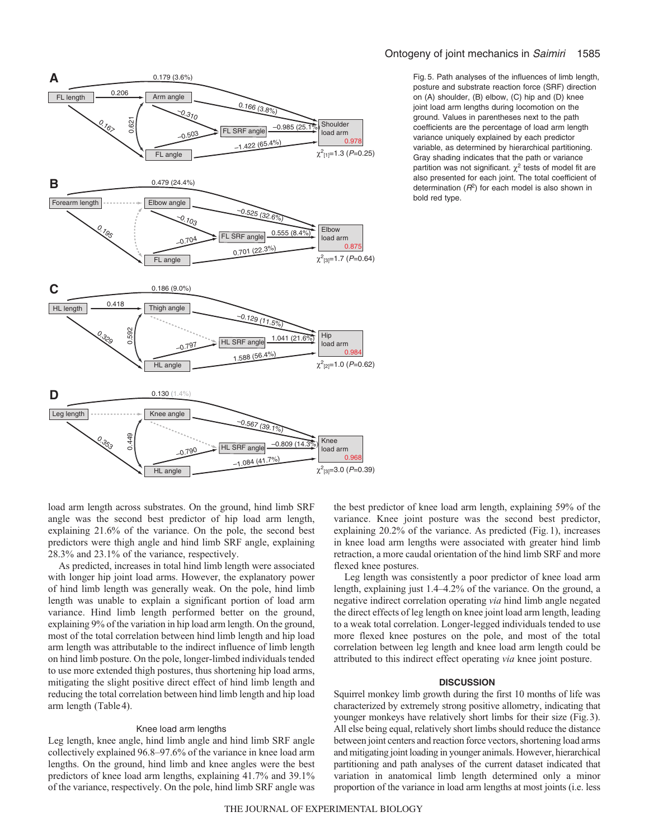

# Ontogeny of joint mechanics in Saimiri 1585

Fig. 5. Path analyses of the influences of limb length, posture and substrate reaction force (SRF) direction on (A) shoulder, (B) elbow, (C) hip and (D) knee joint load arm lengths during locomotion on the ground. Values in parentheses next to the path coefficients are the percentage of load arm length variance uniquely explained by each predictor variable, as determined by hierarchical partitioning. Gray shading indicates that the path or variance partition was not significant.  $\chi^2$  tests of model fit are also presented for each joint. The total coefficient of determination  $(R^2)$  for each model is also shown in bold red type.

load arm length across substrates. On the ground, hind limb SRF angle was the second best predictor of hip load arm length, explaining 21.6% of the variance. On the pole, the second best predictors were thigh angle and hind limb SRF angle, explaining 28.3% and 23.1% of the variance, respectively.

As predicted, increases in total hind limb length were associated with longer hip joint load arms. However, the explanatory power of hind limb length was generally weak. On the pole, hind limb length was unable to explain a significant portion of load arm variance. Hind limb length performed better on the ground, explaining 9% of the variation in hip load arm length. On the ground, most of the total correlation between hind limb length and hip load arm length was attributable to the indirect influence of limb length on hind limb posture. On the pole, longer-limbed individuals tended to use more extended thigh postures, thus shortening hip load arms, mitigating the slight positive direct effect of hind limb length and reducing the total correlation between hind limb length and hip load arm length (Table4).

### Knee load arm lengths

Leg length, knee angle, hind limb angle and hind limb SRF angle collectively explained 96.8–97.6% of the variance in knee load arm lengths. On the ground, hind limb and knee angles were the best predictors of knee load arm lengths, explaining 41.7% and 39.1% of the variance, respectively. On the pole, hind limb SRF angle was the best predictor of knee load arm length, explaining 59% of the variance. Knee joint posture was the second best predictor, explaining 20.2% of the variance. As predicted (Fig.1), increases in knee load arm lengths were associated with greater hind limb retraction, a more caudal orientation of the hind limb SRF and more flexed knee postures.

Leg length was consistently a poor predictor of knee load arm length, explaining just 1.4–4.2% of the variance. On the ground, a negative indirect correlation operating *via* hind limb angle negated the direct effects of leg length on knee joint load arm length, leading to a weak total correlation. Longer-legged individuals tended to use more flexed knee postures on the pole, and most of the total correlation between leg length and knee load arm length could be attributed to this indirect effect operating *via* knee joint posture.

# **DISCUSSION**

Squirrel monkey limb growth during the first 10 months of life was characterized by extremely strong positive allometry, indicating that younger monkeys have relatively short limbs for their size (Fig.3). All else being equal, relatively short limbs should reduce the distance between joint centers and reaction force vectors, shortening load arms and mitigating joint loading in younger animals. However, hierarchical partitioning and path analyses of the current dataset indicated that variation in anatomical limb length determined only a minor proportion of the variance in load arm lengths at most joints (i.e. less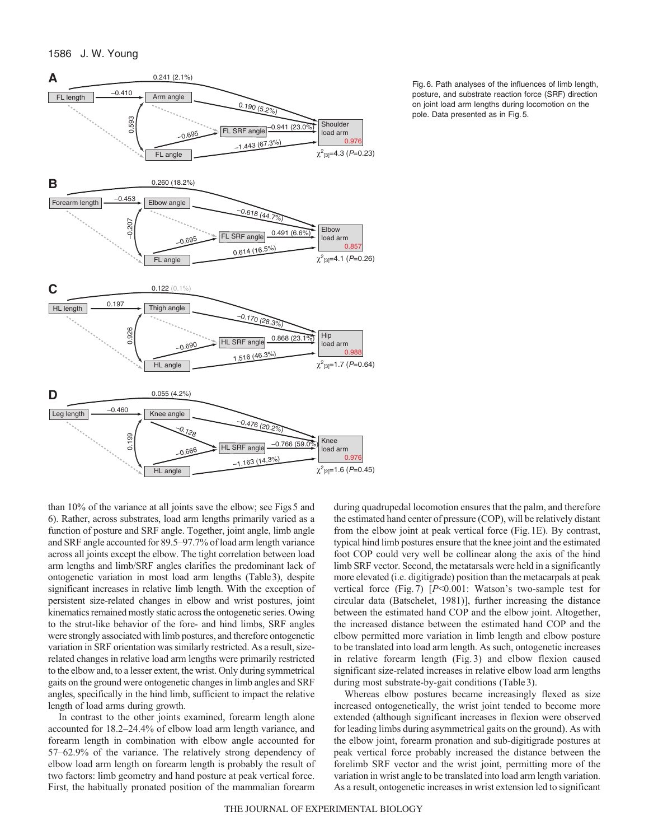

than 10% of the variance at all joints save the elbow; see Figs 5 and 6). Rather, across substrates, load arm lengths primarily varied as a function of posture and SRF angle. Together, joint angle, limb angle and SRF angle accounted for 89.5–97.7% of load arm length variance across all joints except the elbow. The tight correlation between load arm lengths and limb/SRF angles clarifies the predominant lack of ontogenetic variation in most load arm lengths (Table3), despite significant increases in relative limb length. With the exception of persistent size-related changes in elbow and wrist postures, joint kinematics remained mostly static across the ontogenetic series. Owing to the strut-like behavior of the fore- and hind limbs, SRF angles were strongly associated with limb postures, and therefore ontogenetic variation in SRF orientation was similarly restricted. As a result, sizerelated changes in relative load arm lengths were primarily restricted to the elbow and, to a lesser extent, the wrist. Only during symmetrical gaits on the ground were ontogenetic changes in limb angles and SRF angles, specifically in the hind limb, sufficient to impact the relative length of load arms during growth.

In contrast to the other joints examined, forearm length alone accounted for 18.2–24.4% of elbow load arm length variance, and forearm length in combination with elbow angle accounted for 57–62.9% of the variance. The relatively strong dependency of elbow load arm length on forearm length is probably the result of two factors: limb geometry and hand posture at peak vertical force. First, the habitually pronated position of the mammalian forearm during quadrupedal locomotion ensures that the palm, and therefore the estimated hand center of pressure (COP), will be relatively distant from the elbow joint at peak vertical force (Fig.1E). By contrast, typical hind limb postures ensure that the knee joint and the estimated foot COP could very well be collinear along the axis of the hind limb SRF vector. Second, the metatarsals were held in a significantly more elevated (i.e. digitigrade) position than the metacarpals at peak vertical force (Fig.7) [*P*<0.001: Watson's two-sample test for circular data (Batschelet, 1981)], further increasing the distance between the estimated hand COP and the elbow joint. Altogether, the increased distance between the estimated hand COP and the elbow permitted more variation in limb length and elbow posture to be translated into load arm length. As such, ontogenetic increases in relative forearm length (Fig. 3) and elbow flexion caused significant size-related increases in relative elbow load arm lengths during most substrate-by-gait conditions (Table3).

Whereas elbow postures became increasingly flexed as size increased ontogenetically, the wrist joint tended to become more extended (although significant increases in flexion were observed for leading limbs during asymmetrical gaits on the ground). As with the elbow joint, forearm pronation and sub-digitigrade postures at peak vertical force probably increased the distance between the forelimb SRF vector and the wrist joint, permitting more of the variation in wrist angle to be translated into load arm length variation. As a result, ontogenetic increases in wrist extension led to significant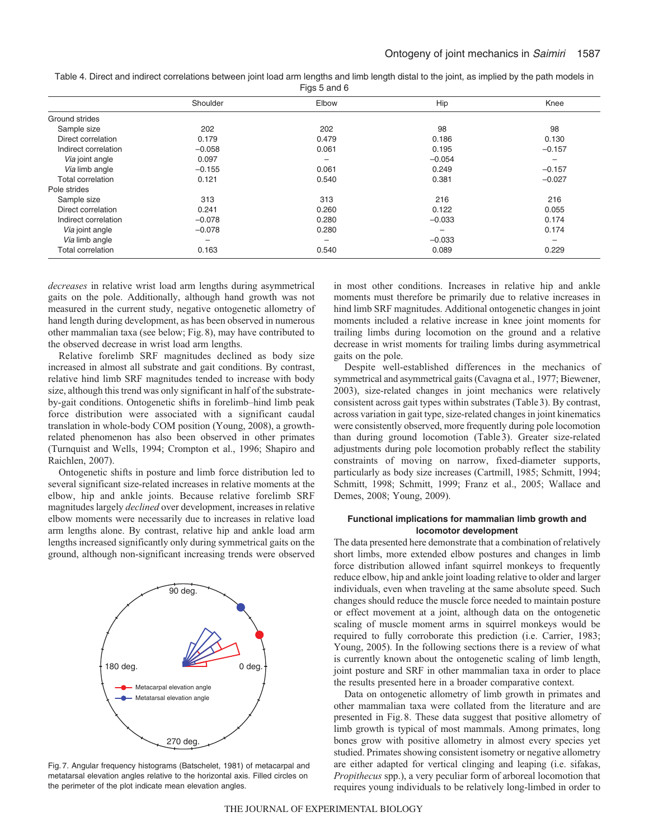|                          | Shoulder | Elbow                    | Hip                      | Knee                     |
|--------------------------|----------|--------------------------|--------------------------|--------------------------|
| Ground strides           |          |                          |                          |                          |
| Sample size              | 202      | 202                      | 98                       | 98                       |
| Direct correlation       | 0.179    | 0.479                    | 0.186                    | 0.130                    |
| Indirect correlation     | $-0.058$ | 0.061                    | 0.195                    | $-0.157$                 |
| Via joint angle          | 0.097    | $\overline{\phantom{0}}$ | $-0.054$                 | $\overline{\phantom{m}}$ |
| Via limb angle           | $-0.155$ | 0.061                    | 0.249                    | $-0.157$                 |
| Total correlation        | 0.121    | 0.540                    | 0.381                    | $-0.027$                 |
| Pole strides             |          |                          |                          |                          |
| Sample size              | 313      | 313                      | 216                      | 216                      |
| Direct correlation       | 0.241    | 0.260                    | 0.122                    | 0.055                    |
| Indirect correlation     | $-0.078$ | 0.280                    | $-0.033$                 | 0.174                    |
| Via joint angle          | $-0.078$ | 0.280                    | $\overline{\phantom{0}}$ | 0.174                    |
| Via limb angle           | —        | $\overline{\phantom{0}}$ | $-0.033$                 |                          |
| <b>Total correlation</b> | 0.163    | 0.540                    | 0.089                    | 0.229                    |

Table 4. Direct and indirect correlations between joint load arm lengths and limb length distal to the joint, as implied by the path models in Figs 5 and 6

*decreases* in relative wrist load arm lengths during asymmetrical gaits on the pole. Additionally, although hand growth was not measured in the current study, negative ontogenetic allometry of hand length during development, as has been observed in numerous other mammalian taxa (see below; Fig.8), may have contributed to the observed decrease in wrist load arm lengths.

Relative forelimb SRF magnitudes declined as body size increased in almost all substrate and gait conditions. By contrast, relative hind limb SRF magnitudes tended to increase with body size, although this trend was only significant in half of the substrateby-gait conditions. Ontogenetic shifts in forelimb–hind limb peak force distribution were associated with a significant caudal translation in whole-body COM position (Young, 2008), a growthrelated phenomenon has also been observed in other primates (Turnquist and Wells, 1994; Crompton et al., 1996; Shapiro and Raichlen, 2007).

Ontogenetic shifts in posture and limb force distribution led to several significant size-related increases in relative moments at the elbow, hip and ankle joints. Because relative forelimb SRF magnitudes largely *declined* over development, increases in relative elbow moments were necessarily due to increases in relative load arm lengths alone. By contrast, relative hip and ankle load arm lengths increased significantly only during symmetrical gaits on the ground, although non-significant increasing trends were observed



Fig. 7. Angular frequency histograms (Batschelet, 1981) of metacarpal and metatarsal elevation angles relative to the horizontal axis. Filled circles on the perimeter of the plot indicate mean elevation angles.

in most other conditions. Increases in relative hip and ankle moments must therefore be primarily due to relative increases in hind limb SRF magnitudes. Additional ontogenetic changes in joint moments included a relative increase in knee joint moments for trailing limbs during locomotion on the ground and a relative decrease in wrist moments for trailing limbs during asymmetrical gaits on the pole.

Despite well-established differences in the mechanics of symmetrical and asymmetrical gaits (Cavagna et al., 1977; Biewener, 2003), size-related changes in joint mechanics were relatively consistent across gait types within substrates (Table3). By contrast, across variation in gait type, size-related changes in joint kinematics were consistently observed, more frequently during pole locomotion than during ground locomotion (Table 3). Greater size-related adjustments during pole locomotion probably reflect the stability constraints of moving on narrow, fixed-diameter supports, particularly as body size increases (Cartmill, 1985; Schmitt, 1994; Schmitt, 1998; Schmitt, 1999; Franz et al., 2005; Wallace and Demes, 2008; Young, 2009).

# **Functional implications for mammalian limb growth and locomotor development**

The data presented here demonstrate that a combination of relatively short limbs, more extended elbow postures and changes in limb force distribution allowed infant squirrel monkeys to frequently reduce elbow, hip and ankle joint loading relative to older and larger individuals, even when traveling at the same absolute speed. Such changes should reduce the muscle force needed to maintain posture or effect movement at a joint, although data on the ontogenetic scaling of muscle moment arms in squirrel monkeys would be required to fully corroborate this prediction (i.e. Carrier, 1983; Young, 2005). In the following sections there is a review of what is currently known about the ontogenetic scaling of limb length, joint posture and SRF in other mammalian taxa in order to place the results presented here in a broader comparative context.

Data on ontogenetic allometry of limb growth in primates and other mammalian taxa were collated from the literature and are presented in Fig.8. These data suggest that positive allometry of limb growth is typical of most mammals. Among primates, long bones grow with positive allometry in almost every species yet studied. Primates showing consistent isometry or negative allometry are either adapted for vertical clinging and leaping (i.e. sifakas, *Propithecus* spp.), a very peculiar form of arboreal locomotion that requires young individuals to be relatively long-limbed in order to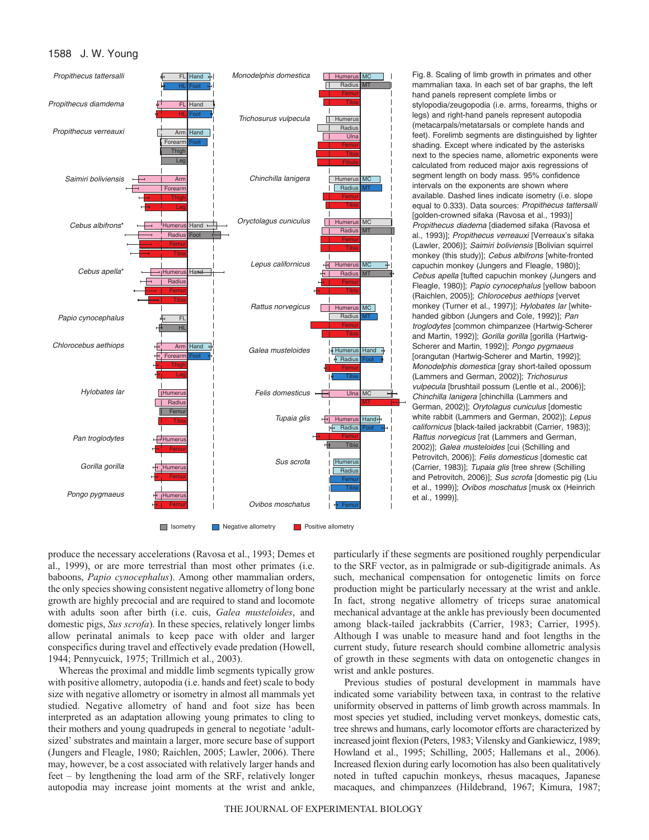

Fig. 8. Scaling of limb growth in primates and other mammalian taxa. In each set of bar graphs, the left hand panels represent complete limbs or stylopodia/zeugopodia (i.e. arms, forearms, thighs or legs) and right-hand panels represent autopodia (metacarpals/metatarsals or complete hands and feet). Forelimb segments are distinguished by lighter shading. Except where indicated by the asterisks next to the species name, allometric exponents were calculated from reduced major axis regressions of segment length on body mass. 95% confidence intervals on the exponents are shown where available. Dashed lines indicate isometry (i.e. slope equal to 0.333). Data sources: Propithecus tattersalli [golden-crowned sifaka (Ravosa et al., 1993)] Propithecus diadema [diademed sifaka (Ravosa et al., 1993)]; Propithecus verreauxi [Verreaux's sifaka (Lawler, 2006)]; Saimiri boliviensis [Bolivian squirrel monkey (this study)]; Cebus albifrons [white-fronted capuchin monkey (Jungers and Fleagle, 1980)]; Cebus apella [tufted capuchin monkey (Jungers and Fleagle, 1980)]; Papio cynocephalus [yellow baboon (Raichlen, 2005)]; Chlorocebus aethiops [vervet monkey (Turner et al., 1997)]; Hylobates lar [whitehanded gibbon (Jungers and Cole, 1992)]; Pan troglodytes [common chimpanzee (Hartwig-Scherer and Martin, 1992)]; Gorilla gorilla [gorilla (Hartwig-Scherer and Martin, 1992)]; Pongo pygmaeus [orangutan (Hartwig-Scherer and Martin, 1992)]; Monodelphis domestica [gray short-tailed opossum (Lammers and German, 2002)]; Trichosurus vulpecula [brushtail possum (Lentle et al., 2006)]; Chinchilla lanigera [chinchilla (Lammers and German, 2002)]; Orytolagus cuniculus [domestic white rabbit (Lammers and German, 2002)]; Lepus californicus [black-tailed jackrabbit (Carrier, 1983)]; Rattus norvegicus [rat (Lammers and German, 2002)]; Galea musteloides [cui (Schilling and Petrovitch, 2006)]; Felis domesticus [domestic cat (Carrier, 1983)]; Tupaia glis [tree shrew (Schilling and Petrovitch, 2006)]; Sus scrofa [domestic pig (Liu et al., 1999)]; Ovibos moschatus [musk ox (Heinrich et al., 1999)].

produce the necessary accelerations (Ravosa et al., 1993; Demes et al., 1999), or are more terrestrial than most other primates (i.e. baboons, *Papio cynocephalus*). Among other mammalian orders, the only species showing consistent negative allometry of long bone growth are highly precocial and are required to stand and locomote with adults soon after birth (i.e. cuis, *Galea musteloides*, and domestic pigs, *Sus scrofa*). In these species, relatively longer limbs allow perinatal animals to keep pace with older and larger conspecifics during travel and effectively evade predation (Howell, 1944; Pennycuick, 1975; Trillmich et al., 2003).

Whereas the proximal and middle limb segments typically grow with positive allometry, autopodia (i.e. hands and feet) scale to body size with negative allometry or isometry in almost all mammals yet studied. Negative allometry of hand and foot size has been interpreted as an adaptation allowing young primates to cling to their mothers and young quadrupeds in general to negotiate 'adultsized' substrates and maintain a larger, more secure base of support (Jungers and Fleagle, 1980; Raichlen, 2005; Lawler, 2006). There may, however, be a cost associated with relatively larger hands and feet – by lengthening the load arm of the SRF, relatively longer autopodia may increase joint moments at the wrist and ankle,

particularly if these segments are positioned roughly perpendicular to the SRF vector, as in palmigrade or sub-digitigrade animals. As such, mechanical compensation for ontogenetic limits on force production might be particularly necessary at the wrist and ankle. In fact, strong negative allometry of triceps surae anatomical mechanical advantage at the ankle has previously been documented among black-tailed jackrabbits (Carrier, 1983; Carrier, 1995). Although I was unable to measure hand and foot lengths in the current study, future research should combine allometric analysis of growth in these segments with data on ontogenetic changes in wrist and ankle postures.

Previous studies of postural development in mammals have indicated some variability between taxa, in contrast to the relative uniformity observed in patterns of limb growth across mammals. In most species yet studied, including vervet monkeys, domestic cats, tree shrews and humans, early locomotor efforts are characterized by increased joint flexion (Peters, 1983; Vilensky and Gankiewicz, 1989; Howland et al., 1995; Schilling, 2005; Hallemans et al., 2006). Increased flexion during early locomotion has also been qualitatively noted in tufted capuchin monkeys, rhesus macaques, Japanese macaques, and chimpanzees (Hildebrand, 1967; Kimura, 1987;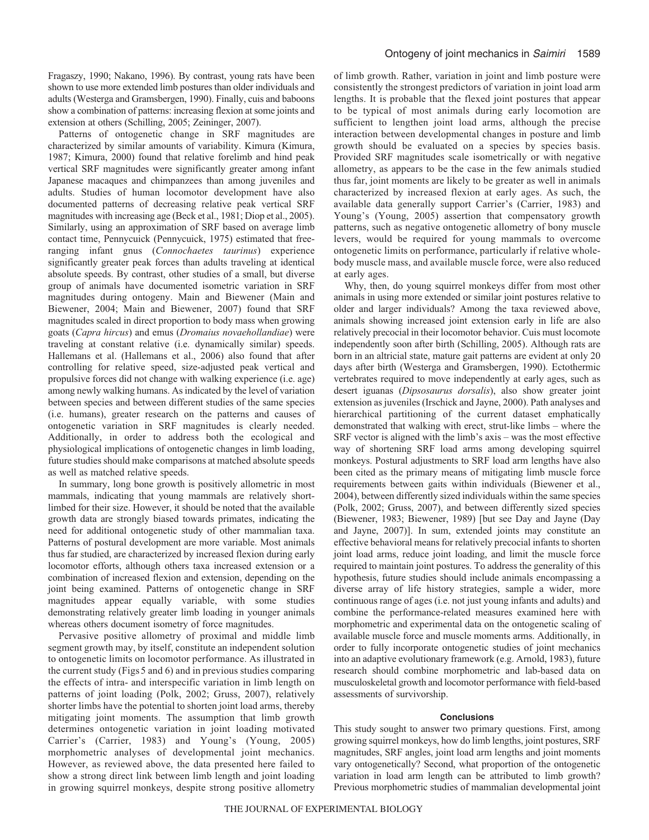Fragaszy, 1990; Nakano, 1996). By contrast, young rats have been shown to use more extended limb postures than older individuals and adults (Westerga and Gramsbergen, 1990). Finally, cuis and baboons show a combination of patterns: increasing flexion at some joints and extension at others (Schilling, 2005; Zeininger, 2007).

Patterns of ontogenetic change in SRF magnitudes are characterized by similar amounts of variability. Kimura (Kimura, 1987; Kimura, 2000) found that relative forelimb and hind peak vertical SRF magnitudes were significantly greater among infant Japanese macaques and chimpanzees than among juveniles and adults. Studies of human locomotor development have also documented patterns of decreasing relative peak vertical SRF magnitudes with increasing age (Beck et al., 1981; Diop et al., 2005). Similarly, using an approximation of SRF based on average limb contact time, Pennycuick (Pennycuick, 1975) estimated that freeranging infant gnus (*Connochaetes taurinus*) experience significantly greater peak forces than adults traveling at identical absolute speeds. By contrast, other studies of a small, but diverse group of animals have documented isometric variation in SRF magnitudes during ontogeny. Main and Biewener (Main and Biewener, 2004; Main and Biewener, 2007) found that SRF magnitudes scaled in direct proportion to body mass when growing goats (*Capra hircus*) and emus (*Dromaius novaehollandiae*) were traveling at constant relative (i.e. dynamically similar) speeds. Hallemans et al. (Hallemans et al., 2006) also found that after controlling for relative speed, size-adjusted peak vertical and propulsive forces did not change with walking experience (i.e. age) among newly walking humans. As indicated by the level of variation between species and between different studies of the same species (i.e. humans), greater research on the patterns and causes of ontogenetic variation in SRF magnitudes is clearly needed. Additionally, in order to address both the ecological and physiological implications of ontogenetic changes in limb loading, future studies should make comparisons at matched absolute speeds as well as matched relative speeds.

In summary, long bone growth is positively allometric in most mammals, indicating that young mammals are relatively shortlimbed for their size. However, it should be noted that the available growth data are strongly biased towards primates, indicating the need for additional ontogenetic study of other mammalian taxa. Patterns of postural development are more variable. Most animals thus far studied, are characterized by increased flexion during early locomotor efforts, although others taxa increased extension or a combination of increased flexion and extension, depending on the joint being examined. Patterns of ontogenetic change in SRF magnitudes appear equally variable, with some studies demonstrating relatively greater limb loading in younger animals whereas others document isometry of force magnitudes.

Pervasive positive allometry of proximal and middle limb segment growth may, by itself, constitute an independent solution to ontogenetic limits on locomotor performance. As illustrated in the current study (Figs 5 and 6) and in previous studies comparing the effects of intra- and interspecific variation in limb length on patterns of joint loading (Polk, 2002; Gruss, 2007), relatively shorter limbs have the potential to shorten joint load arms, thereby mitigating joint moments. The assumption that limb growth determines ontogenetic variation in joint loading motivated Carrier's (Carrier, 1983) and Young's (Young, 2005) morphometric analyses of developmental joint mechanics. However, as reviewed above, the data presented here failed to show a strong direct link between limb length and joint loading in growing squirrel monkeys, despite strong positive allometry

of limb growth. Rather, variation in joint and limb posture were consistently the strongest predictors of variation in joint load arm lengths. It is probable that the flexed joint postures that appear to be typical of most animals during early locomotion are sufficient to lengthen joint load arms, although the precise interaction between developmental changes in posture and limb growth should be evaluated on a species by species basis. Provided SRF magnitudes scale isometrically or with negative allometry, as appears to be the case in the few animals studied thus far, joint moments are likely to be greater as well in animals characterized by increased flexion at early ages. As such, the available data generally support Carrier's (Carrier, 1983) and Young's (Young, 2005) assertion that compensatory growth patterns, such as negative ontogenetic allometry of bony muscle levers, would be required for young mammals to overcome ontogenetic limits on performance, particularly if relative wholebody muscle mass, and available muscle force, were also reduced at early ages.

Why, then, do young squirrel monkeys differ from most other animals in using more extended or similar joint postures relative to older and larger individuals? Among the taxa reviewed above, animals showing increased joint extension early in life are also relatively precocial in their locomotor behavior. Cuis must locomote independently soon after birth (Schilling, 2005). Although rats are born in an altricial state, mature gait patterns are evident at only 20 days after birth (Westerga and Gramsbergen, 1990). Ectothermic vertebrates required to move independently at early ages, such as desert iguanas (*Dipsosaurus dorsalis*), also show greater joint extension as juveniles (Irschick and Jayne, 2000). Path analyses and hierarchical partitioning of the current dataset emphatically demonstrated that walking with erect, strut-like limbs – where the SRF vector is aligned with the limb's axis – was the most effective way of shortening SRF load arms among developing squirrel monkeys. Postural adjustments to SRF load arm lengths have also been cited as the primary means of mitigating limb muscle force requirements between gaits within individuals (Biewener et al., 2004), between differently sized individuals within the same species (Polk, 2002; Gruss, 2007), and between differently sized species (Biewener, 1983; Biewener, 1989) [but see Day and Jayne (Day and Jayne, 2007)]. In sum, extended joints may constitute an effective behavioral means for relatively precocial infants to shorten joint load arms, reduce joint loading, and limit the muscle force required to maintain joint postures. To address the generality of this hypothesis, future studies should include animals encompassing a diverse array of life history strategies, sample a wider, more continuous range of ages (i.e. not just young infants and adults) and combine the performance-related measures examined here with morphometric and experimental data on the ontogenetic scaling of available muscle force and muscle moments arms. Additionally, in order to fully incorporate ontogenetic studies of joint mechanics into an adaptive evolutionary framework (e.g. Arnold, 1983), future research should combine morphometric and lab-based data on musculoskeletal growth and locomotor performance with field-based assessments of survivorship.

### **Conclusions**

This study sought to answer two primary questions. First, among growing squirrel monkeys, how do limb lengths, joint postures, SRF magnitudes, SRF angles, joint load arm lengths and joint moments vary ontogenetically? Second, what proportion of the ontogenetic variation in load arm length can be attributed to limb growth? Previous morphometric studies of mammalian developmental joint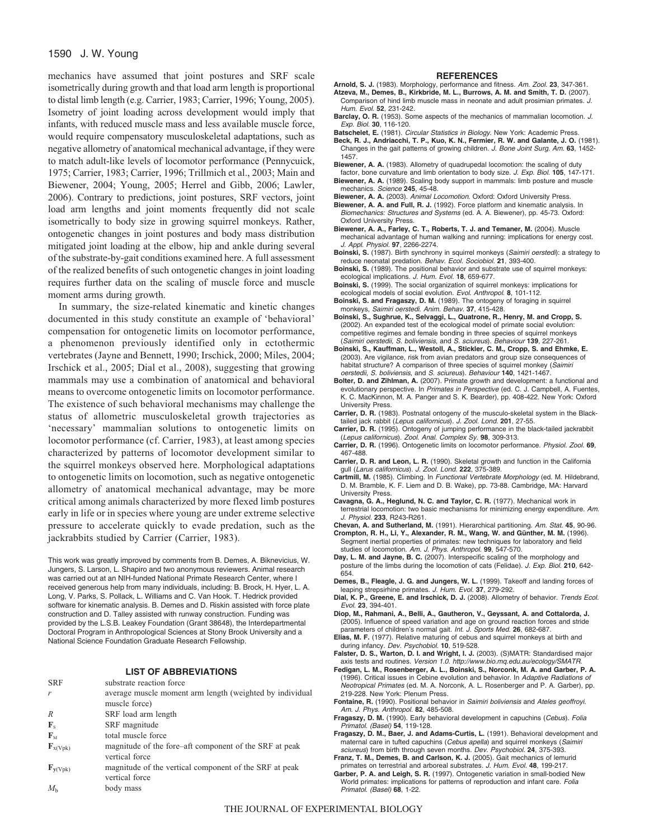mechanics have assumed that joint postures and SRF scale isometrically during growth and that load arm length is proportional to distal limb length (e.g. Carrier, 1983; Carrier, 1996; Young, 2005). Isometry of joint loading across development would imply that infants, with reduced muscle mass and less available muscle force, would require compensatory musculoskeletal adaptations, such as negative allometry of anatomical mechanical advantage, if they were to match adult-like levels of locomotor performance (Pennycuick, 1975; Carrier, 1983; Carrier, 1996; Trillmich et al., 2003; Main and Biewener, 2004; Young, 2005; Herrel and Gibb, 2006; Lawler, 2006). Contrary to predictions, joint postures, SRF vectors, joint load arm lengths and joint moments frequently did not scale isometrically to body size in growing squirrel monkeys. Rather, ontogenetic changes in joint postures and body mass distribution mitigated joint loading at the elbow, hip and ankle during several of the substrate-by-gait conditions examined here. A full assessment of the realized benefits of such ontogenetic changes in joint loading requires further data on the scaling of muscle force and muscle moment arms during growth.

In summary, the size-related kinematic and kinetic changes documented in this study constitute an example of 'behavioral' compensation for ontogenetic limits on locomotor performance, a phenomenon previously identified only in ectothermic vertebrates (Jayne and Bennett, 1990; Irschick, 2000; Miles, 2004; Irschick et al., 2005; Dial et al., 2008), suggesting that growing mammals may use a combination of anatomical and behavioral means to overcome ontogenetic limits on locomotor performance. The existence of such behavioral mechanisms may challenge the status of allometric musculoskeletal growth trajectories as 'necessary' mammalian solutions to ontogenetic limits on locomotor performance (cf. Carrier, 1983), at least among species characterized by patterns of locomotor development similar to the squirrel monkeys observed here. Morphological adaptations to ontogenetic limits on locomotion, such as negative ontogenetic allometry of anatomical mechanical advantage, may be more critical among animals characterized by more flexed limb postures early in life or in species where young are under extreme selective pressure to accelerate quickly to evade predation, such as the jackrabbits studied by Carrier (Carrier, 1983).

This work was greatly improved by comments from B. Demes, A. Biknevicius, W. Jungers, S. Larson, L. Shapiro and two anonymous reviewers. Animal research was carried out at an NIH-funded National Primate Research Center, where I received generous help from many individuals, including: B. Brock, H. Hyer, L. A. Long, V. Parks, S. Pollack, L. Williams and C. Van Hook. T. Hedrick provided software for kinematic analysis. B. Demes and D. Riskin assisted with force plate construction and D. Talley assisted with runway construction. Funding was provided by the L.S.B. Leakey Foundation (Grant 38648), the Interdepartmental Doctoral Program in Anthropological Sciences at Stony Brook University and a National Science Foundation Graduate Research Fellowship.

#### **LIST OF ABBREVIATIONS**

| <b>SRF</b>                            | substrate reaction force                                 |
|---------------------------------------|----------------------------------------------------------|
| r                                     | average muscle moment arm length (weighted by individual |
|                                       | muscle force)                                            |
| R                                     | SRF load arm length                                      |
| $\mathbf{F}_{\rm s}$                  | SRF magnitude                                            |
| ${\bf F}_{\rm M}$                     | total muscle force                                       |
| $\mathbf{F}_{\text{x(Vpk)}}$          | magnitude of the fore–aft component of the SRF at peak   |
|                                       | vertical force                                           |
| $\mathbf{F}_{\mathbf{y}(\text{Vpk})}$ | magnitude of the vertical component of the SRF at peak   |
|                                       | vertical force                                           |
| $M_{h}$                               | body mass                                                |
|                                       |                                                          |

#### **REFERENCES**

**Arnold, S. J.** (1983). Morphology, performance and fitness. Am. Zool. **23**, 347-361. **Atzeva, M., Demes, B., Kirkbride, M. L., Burrows, A. M. and Smith, T. D.** (2007). Comparison of hind limb muscle mass in neonate and adult prosimian primates. J.

- Hum. Evol. **52**, 231-242. Barclay, O. R. (1953). Some aspects of the mechanics of mammalian locomotion. J.
- Exp. Biol. **30**, 116-120. **Batschelet, E.** (1981). Circular Statistics in Biology. New York: Academic Press.
- **Beck, R. J., Andriacchi, T. P., Kuo, K. N., Fermier, R. W. and Galante, J. O.** (1981). Changes in the gait patterns of growing children. J. Bone Joint Surg. Am. **63**, 1452- 1457.
- **Biewener, A. A.** (1983). Allometry of quadrupedal locomotion: the scaling of duty
- factor, bone curvature and limb orientation to body size. J. Exp. Biol. **105**, 147-171. **Biewener, A. A.** (1989). Scaling body support in mammals: limb posture and muscle mechanics. Science **245**, 45-48.
- **Biewener, A. A.** (2003). Animal Locomotion. Oxford: Oxford University Press.
- **Biewener, A. A. and Full, R. J.** (1992). Force platform and kinematic analysis. In Biomechanics: Structures and Systems (ed. A. A. Biewener), pp. 45-73. Oxford: Oxford University Press.
- **Biewener, A. A., Farley, C. T., Roberts, T. J. and Temaner, M.** (2004). Muscle mechanical advantage of human walking and running: implications for energy cost. J. Appl. Physiol. **97**, 2266-2274.
- **Boinski, S.** (1987). Birth synchrony in squirrel monkeys (Saimiri oerstedi): a strategy to reduce neonatal predation. Behav. Ecol. Sociobiol. **21**, 393-400.
- **Boinski, S.** (1989). The positional behavior and substrate use of squirrel monkeys: ecological implications. J. Hum. Evol. **18**, 659-677.
- **Boinski, S.** (1999). The social organization of squirrel monkeys: implications for ecological models of social evolution. Evol. Anthropol. **8**, 101-112.
- **Boinski, S. and Fragaszy, D. M.** (1989). The ontogeny of foraging in squirrel monkeys, Saimiri oerstedi. Anim. Behav. **37**, 415-428.
- **Boinski, S., Sughrue, K., Selvaggi, L., Quatrone, R., Henry, M. and Cropp, S.** (2002). An expanded test of the ecological model of primate social evolution: competitive regimes and female bonding in three species of squirrel monkeys (Saimiri oerstedii, S. boliviensis, and S. sciureus). Behaviour **139**, 227-261.
- **Boinski, S., Kauffman, L., Westoll, A., Stickler, C. M., Cropp, S. and Ehmke, E.** (2003). Are vigilance, risk from avian predators and group size consequences of habitat structure? A comparison of three species of squirrel monkey (Saimiri oerstedii, S. boliviensis, and S. sciureus). Behaviour **140**, 1421-1467.
- **Bolter, D. and Zihlman, A.** (2007). Primate growth and development: a functional and evolutionary perspective. In Primates in Perspective (ed. C. J. Campbell, A. Fuentes, K. C. MacKinnon, M. A. Panger and S. K. Bearder), pp. 408-422. New York: Oxford University Press.
- **Carrier, D. R.** (1983). Postnatal ontogeny of the musculo-skeletal system in the Blacktailed jack rabbit (Lepus californicus). J. Zool. Lond. **201**, 27-55.
- **Carrier, D. R.** (1995). Ontogeny of jumping performance in the black-tailed jackrabbit (Lepus californicus). Zool. Anal. Complex Sy. **98**, 309-313.
- **Carrier, D. R.** (1996). Ontogenetic limits on locomotor performance. Physiol. Zool. **69**, 467-488.
- **Carrier, D. R. and Leon, L. R.** (1990). Skeletal growth and function in the California gull (Larus californicus). J. Zool. Lond. **222**, 375-389.
- **Cartmill, M.** (1985). Climbing. In Functional Vertebrate Morphology (ed. M. Hildebrand, D. M. Bramble, K. F. Liem and D. B. Wake), pp. 73-88. Cambridge, MA: Harvard University Press.
- **Cavagna, G. A., Heglund, N. C. and Taylor, C. R.** (1977). Mechanical work in terrestrial locomotion: two basic mechanisms for minimizing energy expenditure. Am. J. Physiol. **233**, R243-R261.

**Chevan, A. and Sutherland, M.** (1991). Hierarchical partitioning. Am. Stat. **45**, 90-96.

- **Crompton, R. H., Li, Y., Alexander, R. M., Wang, W. and Günther, M. M.** (1996).
- Segment inertial properties of primates: new techniques for laboratory and field studies of locomotion. Am. J. Phys. Anthropol. **99**, 547-570. **Day, L. M. and Jayne, B. C.** (2007). Interspecific scaling of the morphology and
- posture of the limbs during the locomotion of cats (Felidae). J. Exp. Biol. **210**, 642- 654.
- **Demes, B., Fleagle, J. G. and Jungers, W. L.** (1999). Takeoff and landing forces of

leaping strepsirhine primates. J. Hum. Evol. **37**, 279-292. **Dial, K. P., Greene, E. and Irschick, D. J.** (2008). Allometry of behavior. Trends Ecol. Evol. **23**, 394-401.

- **Diop, M., Rahmani, A., Belli, A., Gautheron, V., Geyssant, A. and Cottalorda, J.** (2005). Influence of speed variation and age on ground reaction forces and stride parameters of children's normal gait. Int. J. Sports Med. **26**, 682-687.
- **Elias, M. F.** (1977). Relative maturing of cebus and squirrel monkeys at birth and during infancy. Dev. Psychobiol. **10**, 519-528.
- **Falster, D. S., Warton, D. I. and Wright, I. J.** (2003). (S)MATR: Standardised major axis tests and routines. Version 1.0. http://www.bio.mq.edu.au/ecology/SMATR.
- **Fedigan, L. M., Rosenberger, A. L., Boinski, S., Norconk, M. A. and Garber, P. A.** (1996). Critical issues in Cebine evolution and behavior. In Adaptive Radiations of Neotropical Primates (ed. M. A. Norconk, A. L. Rosenberger and P. A. Garber), pp. 219-228. New York: Plenum Press.
- Fontaine, R. (1990). Positional behavior in Saimiri boliviensis and Ateles geoffroyi. Am. J. Phys. Anthropol. **82**, 485-508.
- **Fragaszy, D. M.** (1990). Early behavioral development in capuchins (Cebus). Folia Primatol. (Basel) **54**, 119-128.
- **Fragaszy, D. M., Baer, J. and Adams-Curtis, L.** (1991). Behavioral development and maternal care in tufted capuchins (Cebus apella) and squirrel monkeys (Saimiri sciureus) from birth through seven months. Dev. Psychobiol. **24**, 375-393.
- **Franz, T. M., Demes, B. and Carlson, K. J.** (2005). Gait mechanics of lemurid primates on terrestrial and arboreal substrates. J. Hum. Evol. **48**, 199-217.
- **Garber, P. A. and Leigh, S. R.** (1997). Ontogenetic variation in small-bodied New World primates: implications for patterns of reproduction and infant care. Folia Primatol. (Basel) **68**, 1-22.